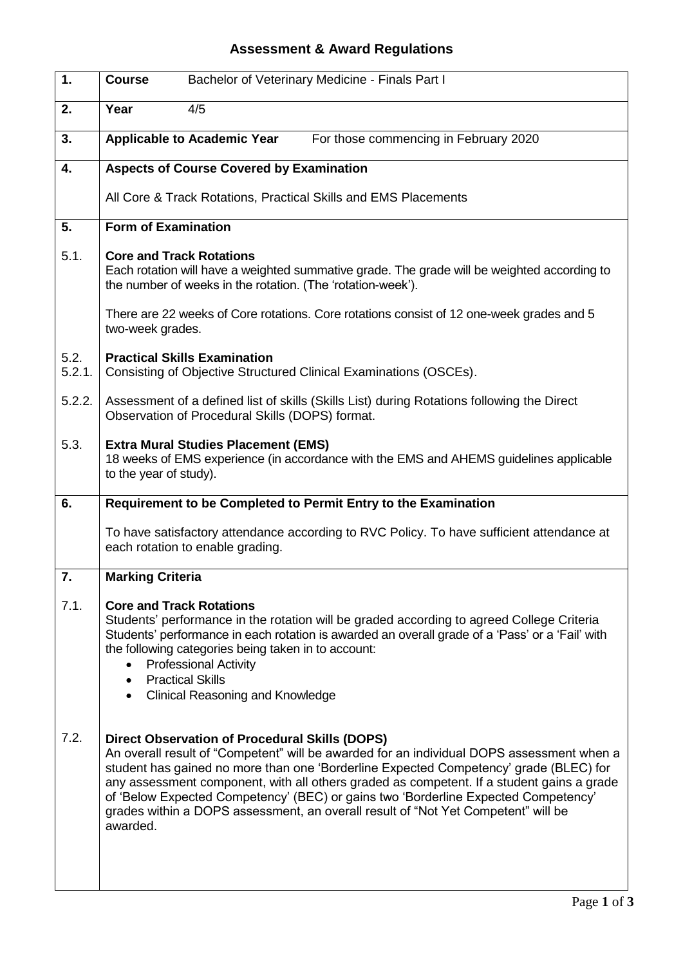## **Assessment & Award Regulations**

| 1.             | <b>Course</b><br>Bachelor of Veterinary Medicine - Finals Part I                                                                                                                                                                                                                                                                                                                                                                                                                                                                |
|----------------|---------------------------------------------------------------------------------------------------------------------------------------------------------------------------------------------------------------------------------------------------------------------------------------------------------------------------------------------------------------------------------------------------------------------------------------------------------------------------------------------------------------------------------|
| 2.             | Year<br>4/5                                                                                                                                                                                                                                                                                                                                                                                                                                                                                                                     |
| 3.             | <b>Applicable to Academic Year</b><br>For those commencing in February 2020                                                                                                                                                                                                                                                                                                                                                                                                                                                     |
| 4.             | <b>Aspects of Course Covered by Examination</b>                                                                                                                                                                                                                                                                                                                                                                                                                                                                                 |
|                | All Core & Track Rotations, Practical Skills and EMS Placements                                                                                                                                                                                                                                                                                                                                                                                                                                                                 |
| 5.             | <b>Form of Examination</b>                                                                                                                                                                                                                                                                                                                                                                                                                                                                                                      |
| 5.1.           | <b>Core and Track Rotations</b><br>Each rotation will have a weighted summative grade. The grade will be weighted according to<br>the number of weeks in the rotation. (The 'rotation-week').                                                                                                                                                                                                                                                                                                                                   |
|                | There are 22 weeks of Core rotations. Core rotations consist of 12 one-week grades and 5<br>two-week grades.                                                                                                                                                                                                                                                                                                                                                                                                                    |
| 5.2.<br>5.2.1. | <b>Practical Skills Examination</b><br>Consisting of Objective Structured Clinical Examinations (OSCEs).                                                                                                                                                                                                                                                                                                                                                                                                                        |
| 5.2.2.         | Assessment of a defined list of skills (Skills List) during Rotations following the Direct<br>Observation of Procedural Skills (DOPS) format.                                                                                                                                                                                                                                                                                                                                                                                   |
| 5.3.           | <b>Extra Mural Studies Placement (EMS)</b><br>18 weeks of EMS experience (in accordance with the EMS and AHEMS guidelines applicable<br>to the year of study).                                                                                                                                                                                                                                                                                                                                                                  |
| 6.             | Requirement to be Completed to Permit Entry to the Examination                                                                                                                                                                                                                                                                                                                                                                                                                                                                  |
|                | To have satisfactory attendance according to RVC Policy. To have sufficient attendance at<br>each rotation to enable grading.                                                                                                                                                                                                                                                                                                                                                                                                   |
| 7.             | <b>Marking Criteria</b>                                                                                                                                                                                                                                                                                                                                                                                                                                                                                                         |
| 7.1.           | <b>Core and Track Rotations</b><br>Students' performance in the rotation will be graded according to agreed College Criteria<br>Students' performance in each rotation is awarded an overall grade of a 'Pass' or a 'Fail' with<br>the following categories being taken in to account:<br><b>Professional Activity</b><br><b>Practical Skills</b><br>$\bullet$<br><b>Clinical Reasoning and Knowledge</b>                                                                                                                       |
| 7.2.           | <b>Direct Observation of Procedural Skills (DOPS)</b><br>An overall result of "Competent" will be awarded for an individual DOPS assessment when a<br>student has gained no more than one 'Borderline Expected Competency' grade (BLEC) for<br>any assessment component, with all others graded as competent. If a student gains a grade<br>of 'Below Expected Competency' (BEC) or gains two 'Borderline Expected Competency'<br>grades within a DOPS assessment, an overall result of "Not Yet Competent" will be<br>awarded. |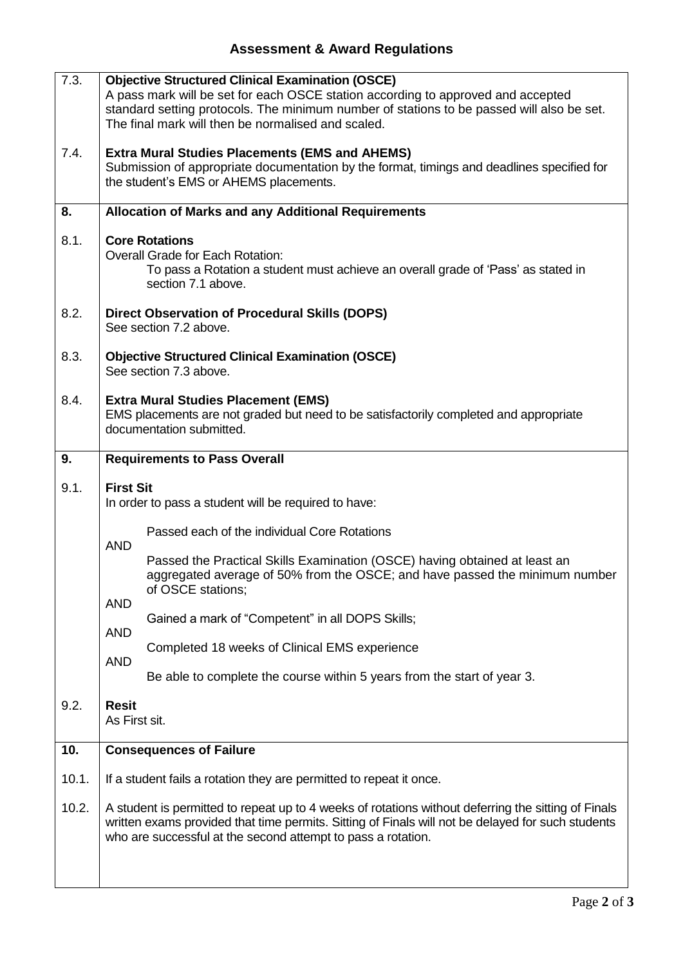## **Assessment & Award Regulations**

| 7.3.  | <b>Objective Structured Clinical Examination (OSCE)</b><br>A pass mark will be set for each OSCE station according to approved and accepted<br>standard setting protocols. The minimum number of stations to be passed will also be set.<br>The final mark will then be normalised and scaled. |
|-------|------------------------------------------------------------------------------------------------------------------------------------------------------------------------------------------------------------------------------------------------------------------------------------------------|
| 7.4.  | <b>Extra Mural Studies Placements (EMS and AHEMS)</b><br>Submission of appropriate documentation by the format, timings and deadlines specified for<br>the student's EMS or AHEMS placements.                                                                                                  |
| 8.    | <b>Allocation of Marks and any Additional Requirements</b>                                                                                                                                                                                                                                     |
| 8.1.  | <b>Core Rotations</b><br><b>Overall Grade for Each Rotation:</b><br>To pass a Rotation a student must achieve an overall grade of 'Pass' as stated in<br>section 7.1 above.                                                                                                                    |
| 8.2.  | Direct Observation of Procedural Skills (DOPS)<br>See section 7.2 above.                                                                                                                                                                                                                       |
| 8.3.  | <b>Objective Structured Clinical Examination (OSCE)</b><br>See section 7.3 above.                                                                                                                                                                                                              |
| 8.4.  | <b>Extra Mural Studies Placement (EMS)</b><br>EMS placements are not graded but need to be satisfactorily completed and appropriate<br>documentation submitted.                                                                                                                                |
| 9.    | <b>Requirements to Pass Overall</b>                                                                                                                                                                                                                                                            |
| 9.1.  | <b>First Sit</b><br>In order to pass a student will be required to have:                                                                                                                                                                                                                       |
|       | Passed each of the individual Core Rotations<br><b>AND</b>                                                                                                                                                                                                                                     |
|       | Passed the Practical Skills Examination (OSCE) having obtained at least an<br>aggregated average of 50% from the OSCE; and have passed the minimum number<br>of OSCE stations;                                                                                                                 |
|       | <b>AND</b><br>Gained a mark of "Competent" in all DOPS Skills;<br><b>AND</b>                                                                                                                                                                                                                   |
|       | Completed 18 weeks of Clinical EMS experience<br><b>AND</b>                                                                                                                                                                                                                                    |
|       | Be able to complete the course within 5 years from the start of year 3.                                                                                                                                                                                                                        |
| 9.2.  | <b>Resit</b><br>As First sit.                                                                                                                                                                                                                                                                  |
| 10.   | <b>Consequences of Failure</b>                                                                                                                                                                                                                                                                 |
| 10.1. | If a student fails a rotation they are permitted to repeat it once.                                                                                                                                                                                                                            |
| 10.2. | A student is permitted to repeat up to 4 weeks of rotations without deferring the sitting of Finals<br>written exams provided that time permits. Sitting of Finals will not be delayed for such students<br>who are successful at the second attempt to pass a rotation.                       |
|       |                                                                                                                                                                                                                                                                                                |